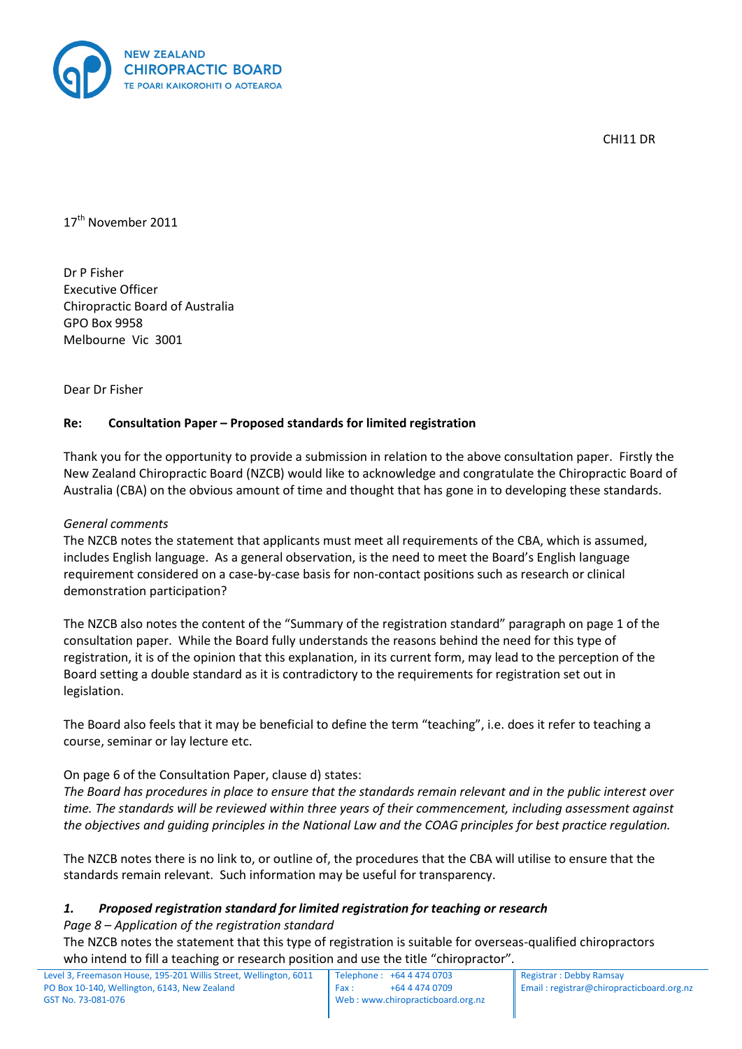

CHI<sub>11</sub> DR

17<sup>th</sup> November 2011

Dr P Fisher Executive Officer Chiropractic Board of Australia GPO Box 9958 Melbourne Vic 3001

Dear Dr Fisher

# **Re: Consultation Paper – Proposed standards for limited registration**

Thank you for the opportunity to provide a submission in relation to the above consultation paper. Firstly the New Zealand Chiropractic Board (NZCB) would like to acknowledge and congratulate the Chiropractic Board of Australia (CBA) on the obvious amount of time and thought that has gone in to developing these standards.

#### *General comments*

The NZCB notes the statement that applicants must meet all requirements of the CBA, which is assumed, includes English language. As a general observation, is the need to meet the Board's English language requirement considered on a case-by-case basis for non-contact positions such as research or clinical demonstration participation?

The NZCB also notes the content of the "Summary of the registration standard" paragraph on page 1 of the consultation paper. While the Board fully understands the reasons behind the need for this type of registration, it is of the opinion that this explanation, in its current form, may lead to the perception of the Board setting a double standard as it is contradictory to the requirements for registration set out in legislation.

The Board also feels that it may be beneficial to define the term "teaching", i.e. does it refer to teaching a course, seminar or lay lecture etc.

#### On page 6 of the Consultation Paper, clause d) states:

*The Board has procedures in place to ensure that the standards remain relevant and in the public interest over time. The standards will be reviewed within three years of their commencement, including assessment against the objectives and guiding principles in the National Law and the COAG principles for best practice regulation.* 

The NZCB notes there is no link to, or outline of, the procedures that the CBA will utilise to ensure that the standards remain relevant. Such information may be useful for transparency.

#### *1. Proposed registration standard for limited registration for teaching or research*

*Page 8 – Application of the registration standard*

The NZCB notes the statement that this type of registration is suitable for overseas-qualified chiropractors who intend to fill a teaching or research position and use the title "chiropractor".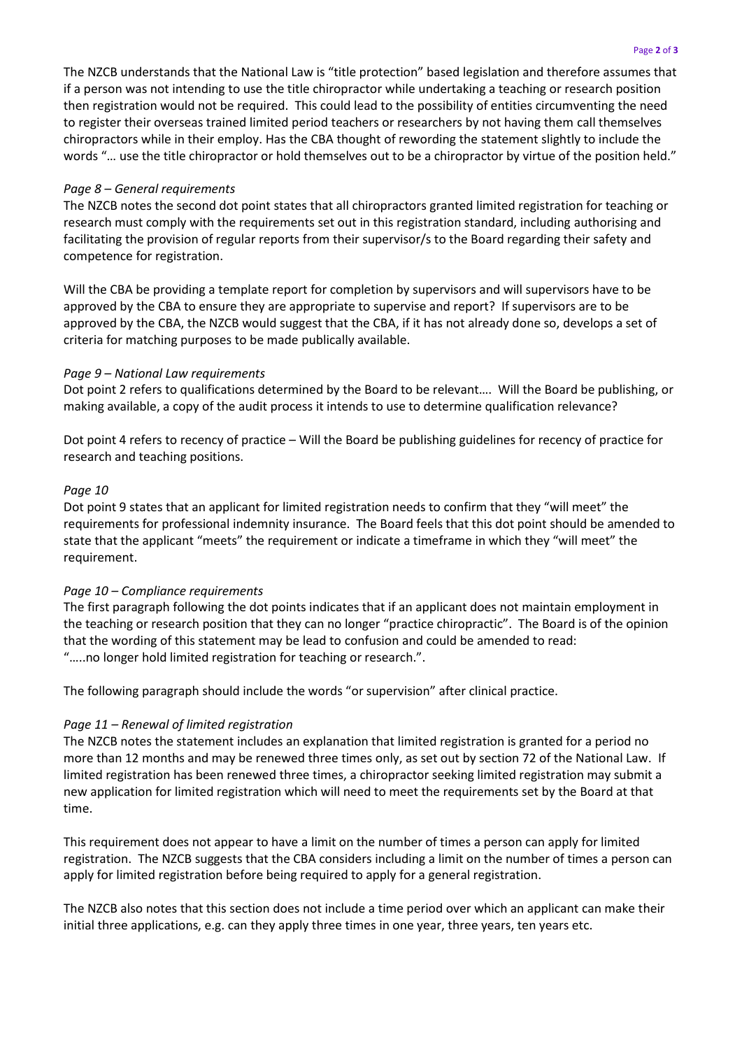The NZCB understands that the National Law is "title protection" based legislation and therefore assumes that if a person was not intending to use the title chiropractor while undertaking a teaching or research position then registration would not be required. This could lead to the possibility of entities circumventing the need to register their overseas trained limited period teachers or researchers by not having them call themselves chiropractors while in their employ. Has the CBA thought of rewording the statement slightly to include the words "… use the title chiropractor or hold themselves out to be a chiropractor by virtue of the position held."

### *Page 8 – General requirements*

The NZCB notes the second dot point states that all chiropractors granted limited registration for teaching or research must comply with the requirements set out in this registration standard, including authorising and facilitating the provision of regular reports from their supervisor/s to the Board regarding their safety and competence for registration.

Will the CBA be providing a template report for completion by supervisors and will supervisors have to be approved by the CBA to ensure they are appropriate to supervise and report? If supervisors are to be approved by the CBA, the NZCB would suggest that the CBA, if it has not already done so, develops a set of criteria for matching purposes to be made publically available.

### *Page 9 – National Law requirements*

Dot point 2 refers to qualifications determined by the Board to be relevant…. Will the Board be publishing, or making available, a copy of the audit process it intends to use to determine qualification relevance?

Dot point 4 refers to recency of practice – Will the Board be publishing guidelines for recency of practice for research and teaching positions.

#### *Page 10*

Dot point 9 states that an applicant for limited registration needs to confirm that they "will meet" the requirements for professional indemnity insurance. The Board feels that this dot point should be amended to state that the applicant "meets" the requirement or indicate a timeframe in which they "will meet" the requirement.

# *Page 10 – Compliance requirements*

The first paragraph following the dot points indicates that if an applicant does not maintain employment in the teaching or research position that they can no longer "practice chiropractic". The Board is of the opinion that the wording of this statement may be lead to confusion and could be amended to read: "…..no longer hold limited registration for teaching or research.".

The following paragraph should include the words "or supervision" after clinical practice.

# *Page 11 – Renewal of limited registration*

The NZCB notes the statement includes an explanation that limited registration is granted for a period no more than 12 months and may be renewed three times only, as set out by section 72 of the National Law. If limited registration has been renewed three times, a chiropractor seeking limited registration may submit a new application for limited registration which will need to meet the requirements set by the Board at that time.

This requirement does not appear to have a limit on the number of times a person can apply for limited registration. The NZCB suggests that the CBA considers including a limit on the number of times a person can apply for limited registration before being required to apply for a general registration.

The NZCB also notes that this section does not include a time period over which an applicant can make their initial three applications, e.g. can they apply three times in one year, three years, ten years etc.